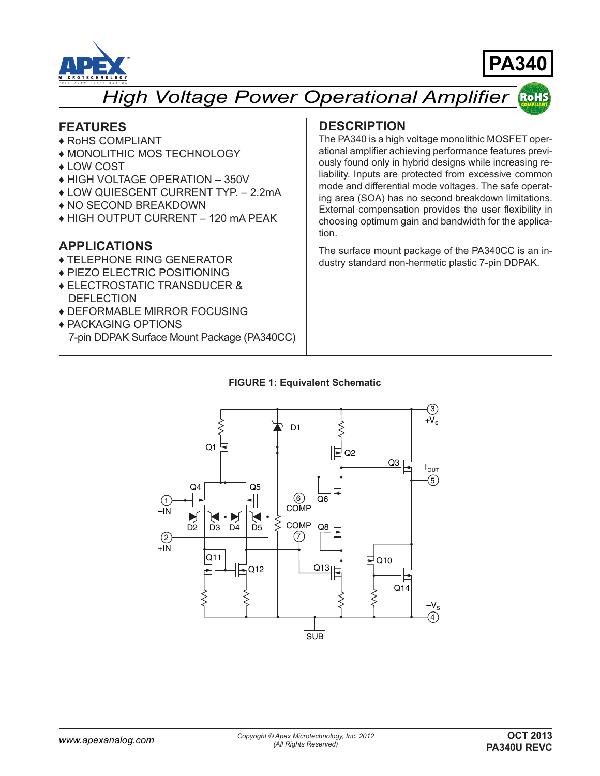



#### *High Voltage Power Operational Amplifier* **RoHS**

### **FEATURES**

- ♦ RoHS COMPLIANT
- ♦ MONOLITHIC MOS TECHNOLOGY
- ♦ LOW COST
- ♦ HIGH VOLTAGE OPERATION 350V
- ♦ LOW QUIESCENT CURRENT TYP. 2.2mA
- ♦ NO SECOND BREAKDOWN
- ♦ HIGH OUTPUT CURRENT 120 mA PEAK

### **APPLICATIONS**

- ♦ TELEPHONE RING GENERATOR
- ♦ PIEZO ELECTRIC POSITIONING
- ♦ ELECTROSTATIC TRANSDUCER & DEFLECTION
- ♦ DEFORMABLE MIRROR FOCUSING
- ♦ PACKAGING OPTIONS
- 7-pin DDPAK Surface Mount Package (PA340CC)

### **DESCRIPTION**

The PA340 is a high voltage monolithic MOSFET operational amplifier achieving performance features previously found only in hybrid designs while increasing reliability. Inputs are protected from excessive common mode and differential mode voltages. The safe operating area (SOA) has no second breakdown limitations. External compensation provides the user flexibility in choosing optimum gain and bandwidth for the application.

The surface mount package of the PA340CC is an industry standard non-hermetic plastic 7-pin DDPAK.

#### **FIGURE 1: Equivalent Schematic**

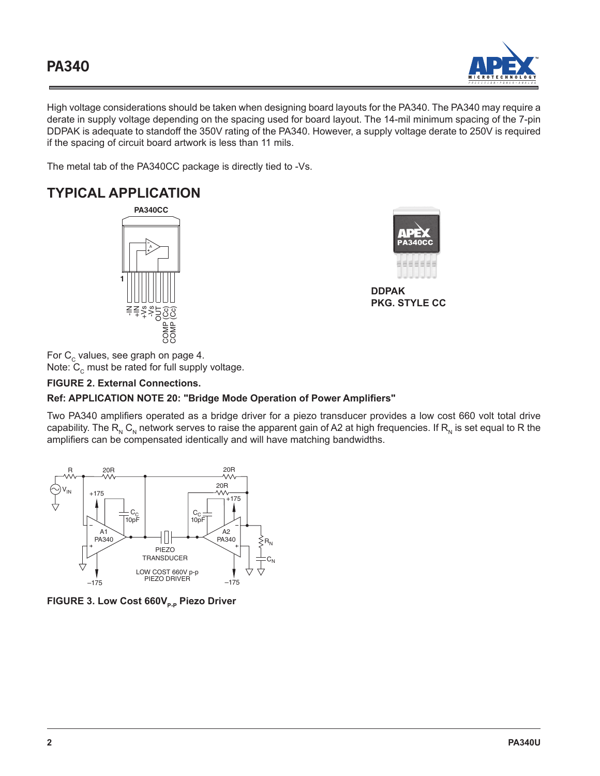

High voltage considerations should be taken when designing board layouts for the PA340. The PA340 may require a derate in supply voltage depending on the spacing used for board layout. The 14-mil minimum spacing of the 7-pin DDPAK is adequate to standoff the 350V rating of the PA340. However, a supply voltage derate to 250V is required if the spacing of circuit board artwork is less than 11 mils.

The metal tab of the PA340CC package is directly tied to -Vs.

# **TYPICAL APPLICATION**





**DDPAK PKG. STYLE CC**

For  $\textsf{C}_\textsf{c}$  values, see graph on page 4. Note:  $\texttt{C}_{_{\texttt{C}}}$  must be rated for full supply voltage.

### **FIGURE 2. External Connections.**

#### **Ref: APPLICATION NOTE 20: "Bridge Mode Operation of Power Amplifiers"**

Two PA340 amplifiers operated as a bridge driver for a piezo transducer provides a low cost 660 volt total drive capability. The  $R_N C_N$  network serves to raise the apparent gain of A2 at high frequencies. If  $R_N$  is set equal to R the amplifiers can be compensated identically and will have matching bandwidths.



**FIGURE 3. Low Cost 660V<sub>p-p</sub> Piezo Driver**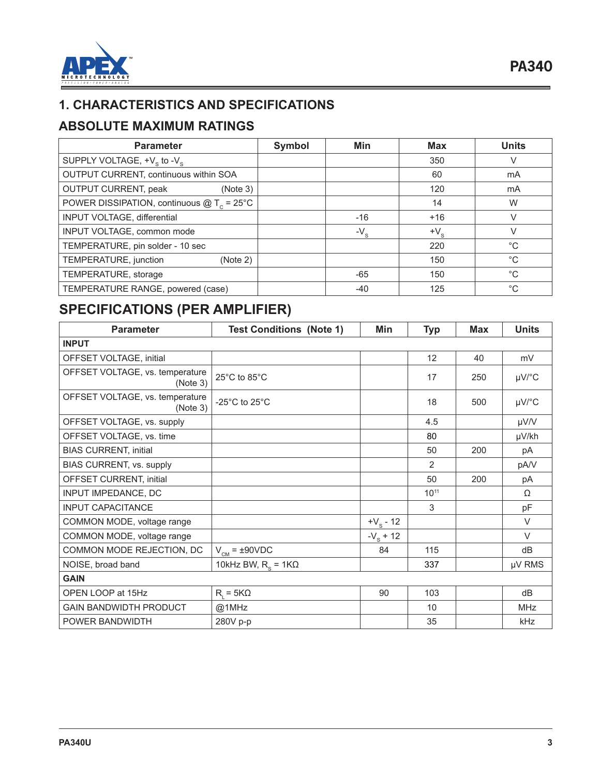

## **1. CHARACTERISTICS AND SPECIFICATIONS**

## **ABSOLUTE MAXIMUM RATINGS**

| <b>Parameter</b>                                   | Symbol | Min          | <b>Max</b>   | <b>Units</b> |
|----------------------------------------------------|--------|--------------|--------------|--------------|
| SUPPLY VOLTAGE, $+V_s$ to $-V_s$                   |        |              | 350          | V            |
| OUTPUT CURRENT, continuous within SOA              |        |              | 60           | mA           |
| OUTPUT CURRENT, peak<br>(Note 3)                   |        |              | 120          | mA           |
| POWER DISSIPATION, continuous $@T_c = 25^{\circ}C$ |        |              | 14           | W            |
| INPUT VOLTAGE, differential                        |        | $-16$        | $+16$        |              |
| INPUT VOLTAGE, common mode                         |        | $-V_{\rm s}$ | $+V_{\rm c}$ |              |
| TEMPERATURE, pin solder - 10 sec                   |        |              | 220          | $^{\circ}C$  |
| TEMPERATURE, junction<br>(Note 2)                  |        |              | 150          | $^{\circ}C$  |
| TEMPERATURE, storage                               |        | -65          | 150          | $^{\circ}C$  |
| TEMPERATURE RANGE, powered (case)                  |        | -40          | 125          | $^{\circ}C$  |

# **SPECIFICATIONS (PER AMPLIFIER)**

| <b>Parameter</b>                            | <b>Test Conditions (Note 1)</b>     | Min         | <b>Typ</b> | <b>Max</b> | <b>Units</b> |
|---------------------------------------------|-------------------------------------|-------------|------------|------------|--------------|
| <b>INPUT</b>                                |                                     |             |            |            |              |
| OFFSET VOLTAGE, initial                     |                                     |             | 12         | 40         | mV           |
| OFFSET VOLTAGE, vs. temperature<br>(Note 3) | 25°C to 85°C                        |             | 17         | 250        | µV/°C        |
| OFFSET VOLTAGE, vs. temperature<br>(Note 3) | -25 $^{\circ}$ C to 25 $^{\circ}$ C |             | 18         | 500        | µV/°C        |
| OFFSET VOLTAGE, vs. supply                  |                                     |             | 4.5        |            | µV/V         |
| OFFSET VOLTAGE, vs. time                    |                                     |             | 80         |            | µV/kh        |
| <b>BIAS CURRENT, initial</b>                |                                     |             | 50         | 200        | pA           |
| BIAS CURRENT, vs. supply                    |                                     |             | 2          |            | pA/V         |
| OFFSET CURRENT, initial                     |                                     |             | 50         | 200        | pA           |
| INPUT IMPEDANCE, DC                         |                                     |             | $10^{11}$  |            | Ω            |
| <b>INPUT CAPACITANCE</b>                    |                                     |             | 3          |            | pF           |
| COMMON MODE, voltage range                  |                                     | $+V_s - 12$ |            |            | $\vee$       |
| COMMON MODE, voltage range                  |                                     | $-V_s + 12$ |            |            | $\vee$       |
| COMMON MODE REJECTION, DC                   | $V_{CM}$ = ±90VDC                   | 84          | 115        |            | dB           |
| NOISE, broad band                           | 10kHz BW, $R_s = 1K\Omega$          |             | 337        |            | µV RMS       |
| <b>GAIN</b>                                 |                                     |             |            |            |              |
| OPEN LOOP at 15Hz                           | $R_i = 5K\Omega$                    | 90          | 103        |            | dB           |
| <b>GAIN BANDWIDTH PRODUCT</b>               | @1MHz                               |             | 10         |            | <b>MHz</b>   |
| POWER BANDWIDTH                             | 280V p-p                            |             | 35         |            | kHz          |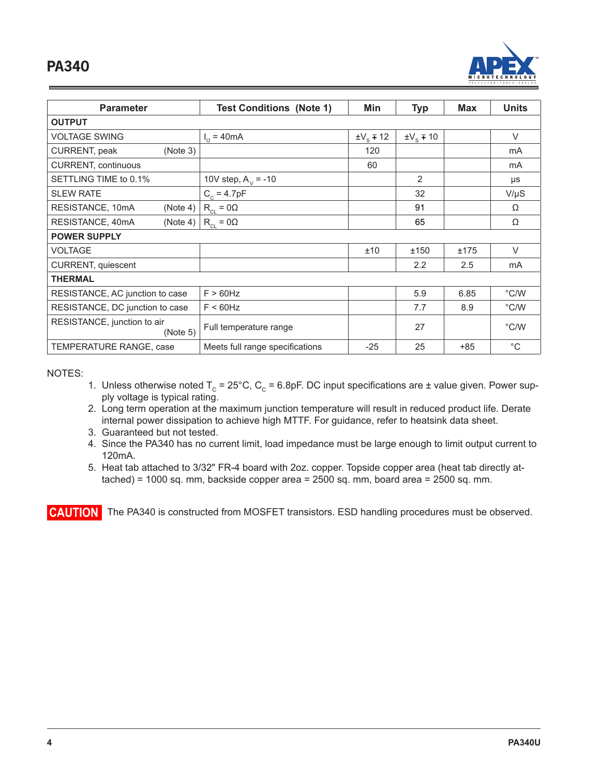

| <b>Parameter</b>                        | <b>Test Conditions (Note 1)</b> | Min                  | <b>Typ</b>           | Max   | <b>Units</b>      |
|-----------------------------------------|---------------------------------|----------------------|----------------------|-------|-------------------|
| <b>OUTPUT</b>                           |                                 |                      |                      |       |                   |
| <b>VOLTAGE SWING</b>                    | $I_0$ = 40mA                    | $\pm V_{\rm c}$ ∓ 12 | $\pm V_{\rm c}$ ∓ 10 |       | $\vee$            |
| CURRENT, peak<br>(Note 3)               |                                 | 120                  |                      |       | mA                |
| <b>CURRENT, continuous</b>              |                                 | 60                   |                      |       | mA                |
| SETTLING TIME to 0.1%                   | 10V step, $A_v = -10$           |                      | 2                    |       | μs                |
| <b>SLEW RATE</b>                        | $C_c = 4.7pF$                   |                      | 32                   |       | $V/\mu S$         |
| RESISTANCE, 10mA<br>(Note 4)            | $R_{CL} = 0\Omega$              |                      | 91                   |       | Ω                 |
| RESISTANCE, 40mA<br>(Note 4)            | $R_{CL} = 0\Omega$              |                      | 65                   |       | Ω                 |
| <b>POWER SUPPLY</b>                     |                                 |                      |                      |       |                   |
| <b>VOLTAGE</b>                          |                                 | ±10                  | ±150                 | ±175  | $\vee$            |
| CURRENT, quiescent                      |                                 |                      | 2.2                  | 2.5   | mA                |
| <b>THERMAL</b>                          |                                 |                      |                      |       |                   |
| RESISTANCE, AC junction to case         | $F > 60$ Hz                     |                      | 5.9                  | 6.85  | $\degree$ C/W     |
| RESISTANCE, DC junction to case         | $F < 60$ Hz                     |                      | 7.7                  | 8.9   | $\degree$ C/W     |
| RESISTANCE, junction to air<br>(Note 5) | Full temperature range          |                      | 27                   |       | $\degree$ C/W     |
| TEMPERATURE RANGE, case                 | Meets full range specifications | $-25$                | 25                   | $+85$ | $^{\circ}{\rm C}$ |

NOTES:

- 1. Unless otherwise noted  $T_c = 25^{\circ}$ C, C<sub>c</sub> = 6.8pF. DC input specifications are ± value given. Power supply voltage is typical rating.
- 2. Long term operation at the maximum junction temperature will result in reduced product life. Derate internal power dissipation to achieve high MTTF. For guidance, refer to heatsink data sheet.
- 3. Guaranteed but not tested.
- 4. Since the PA340 has no current limit, load impedance must be large enough to limit output current to 120mA.
- 5. Heat tab attached to 3/32" FR-4 board with 2oz. copper. Topside copper area (heat tab directly attached) = 1000 sq. mm, backside copper area = 2500 sq. mm, board area = 2500 sq. mm.

**CAUTION** The PA340 is constructed from MOSFET transistors. ESD handling procedures must be observed.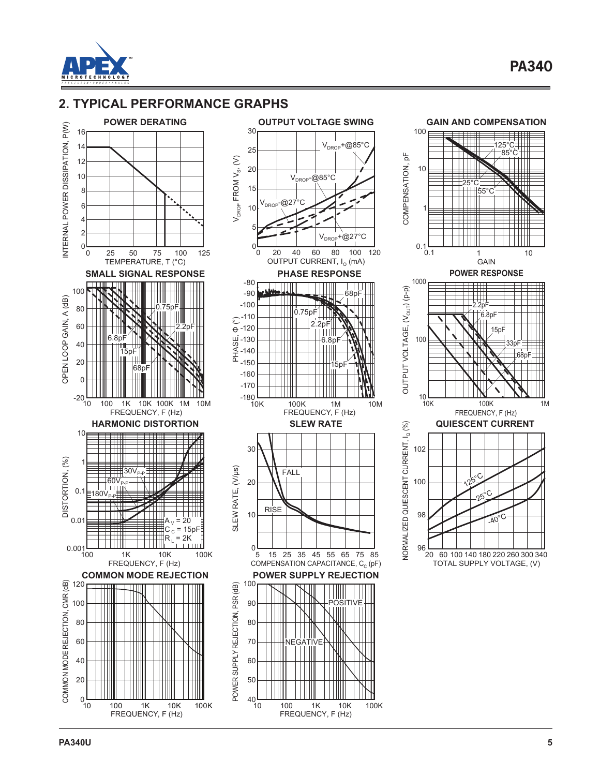

## **2. TYPICAL PERFORMANCE GRAPHS**





FREQUENCY, F (Hz)

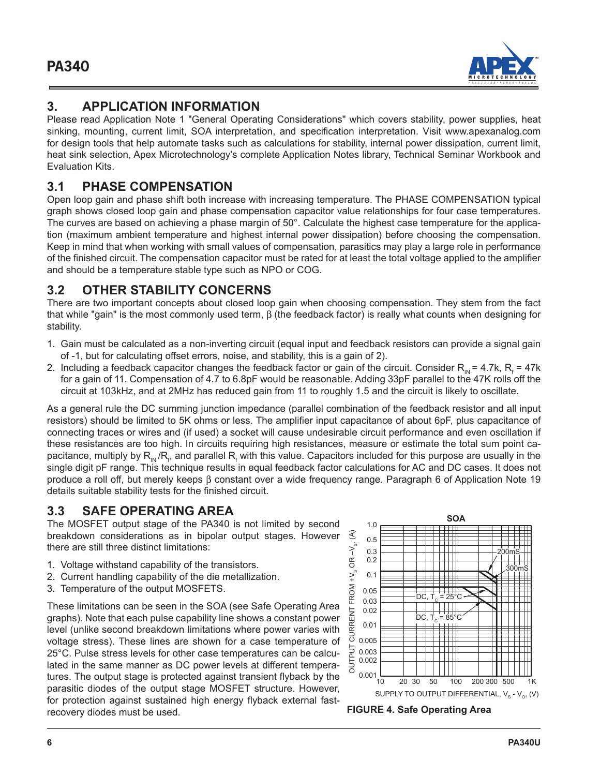

## **3. APPLICATION INFORMATION**

Please read Application Note 1 "General Operating Considerations" which covers stability, power supplies, heat sinking, mounting, current limit, SOA interpretation, and specification interpretation. Visit www.apexanalog.com for design tools that help automate tasks such as calculations for stability, internal power dissipation, current limit, heat sink selection, Apex Microtechnology's complete Application Notes library, Technical Seminar Workbook and Evaluation Kits.

## **3.1 PHASE COMPENSATION**

Open loop gain and phase shift both increase with increasing temperature. The PHASE COMPENSATION typical graph shows closed loop gain and phase compensation capacitor value relationships for four case temperatures. The curves are based on achieving a phase margin of  $50^\circ$ . Calculate the highest case temperature for the application (maximum ambient temperature and highest internal power dissipation) before choosing the compensation. Keep in mind that when working with small values of compensation, parasitics may play a large role in performance of the finished circuit. The compensation capacitor must be rated for at least the total voltage applied to the amplifier and should be a temperature stable type such as NPO or COG.

## **3.2 OTHER STABILITY CONCERNS**

There are two important concepts about closed loop gain when choosing compensation. They stem from the fact that while "gain" is the most commonly used term, β (the feedback factor) is really what counts when designing for stability.

- 1. Gain must be calculated as a non-inverting circuit (equal input and feedback resistors can provide a signal gain of -1, but for calculating offset errors, noise, and stability, this is a gain of 2).
- 2. Including a feedback capacitor changes the feedback factor or gain of the circuit. Consider  $R_{_{IN}}$ = 4.7k,  $R_{_{f}}$  = 47k for a gain of 11. Compensation of 4.7 to 6.8pF would be reasonable. Adding 33pF parallel to the 47K rolls off the circuit at 103kHz, and at 2MHz has reduced gain from 11 to roughly 1.5 and the circuit is likely to oscillate.

As a general rule the DC summing junction impedance (parallel combination of the feedback resistor and all input resistors) should be limited to 5K ohms or less. The amplifier input capacitance of about 6pF, plus capacitance of connecting traces or wires and (if used) a socket will cause undesirable circuit performance and even oscillation if these resistances are too high. In circuits requiring high resistances, measure or estimate the total sum point capacitance, multiply by  ${\sf R}_{_\mathsf{IN}}$ / ${\sf R}_r$ , and parallel  ${\sf R}_\mathsf{f}$  with this value. Capacitors included for this purpose are usually in the single digit pF range. This technique results in equal feedback factor calculations for AC and DC cases. It does not produce a roll off, but merely keeps β constant over a wide frequency range. Paragraph 6 of Application Note 19 details suitable stability tests for the finished circuit.

## **3.3 SAFE OPERATING AREA**

The MOSFET output stage of the PA340 is not limited by second breakdown considerations as in bipolar output stages. However there are still three distinct limitations:

- 1. Voltage withstand capability of the transistors.
- 2. Current handling capability of the die metallization.
- 3. Temperature of the output MOSFETS.

These limitations can be seen in the SOA (see Safe Operating Area graphs). Note that each pulse capability line shows a constant power level (unlike second breakdown limitations where power varies with voltage stress). These lines are shown for a case temperature of 25°C. Pulse stress levels for other case temperatures can be calculated in the same manner as DC power levels at different temperatures. The output stage is protected against transient flyback by the parasitic diodes of the output stage MOSFET structure. However, for protection against sustained high energy flyback external fastrecovery diodes must be used.